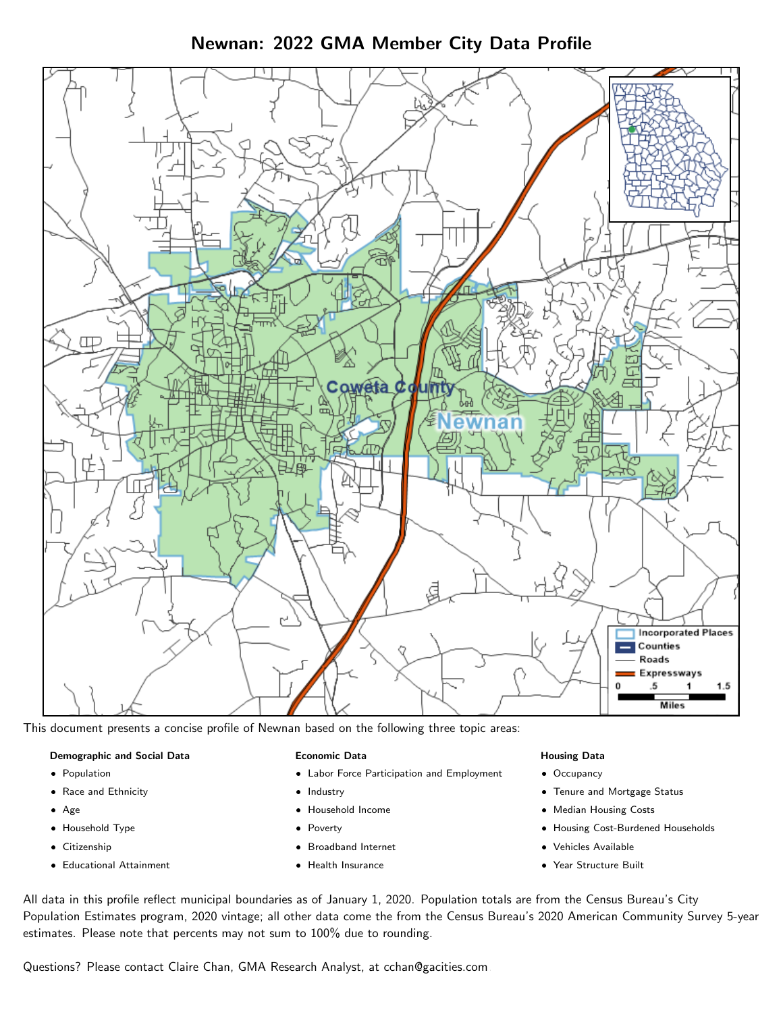Newnan: 2022 GMA Member City Data Profile



This document presents a concise profile of Newnan based on the following three topic areas:

#### Demographic and Social Data

- **•** Population
- Race and Ethnicity
- Age
- Household Type
- **Citizenship**
- Educational Attainment

#### Economic Data

- Labor Force Participation and Employment
- Industry
- Household Income
- Poverty
- Broadband Internet
- Health Insurance

#### Housing Data

- Occupancy
- Tenure and Mortgage Status
- Median Housing Costs
- Housing Cost-Burdened Households
- Vehicles Available
- Year Structure Built

All data in this profile reflect municipal boundaries as of January 1, 2020. Population totals are from the Census Bureau's City Population Estimates program, 2020 vintage; all other data come the from the Census Bureau's 2020 American Community Survey 5-year estimates. Please note that percents may not sum to 100% due to rounding.

Questions? Please contact Claire Chan, GMA Research Analyst, at [cchan@gacities.com.](mailto:cchan@gacities.com)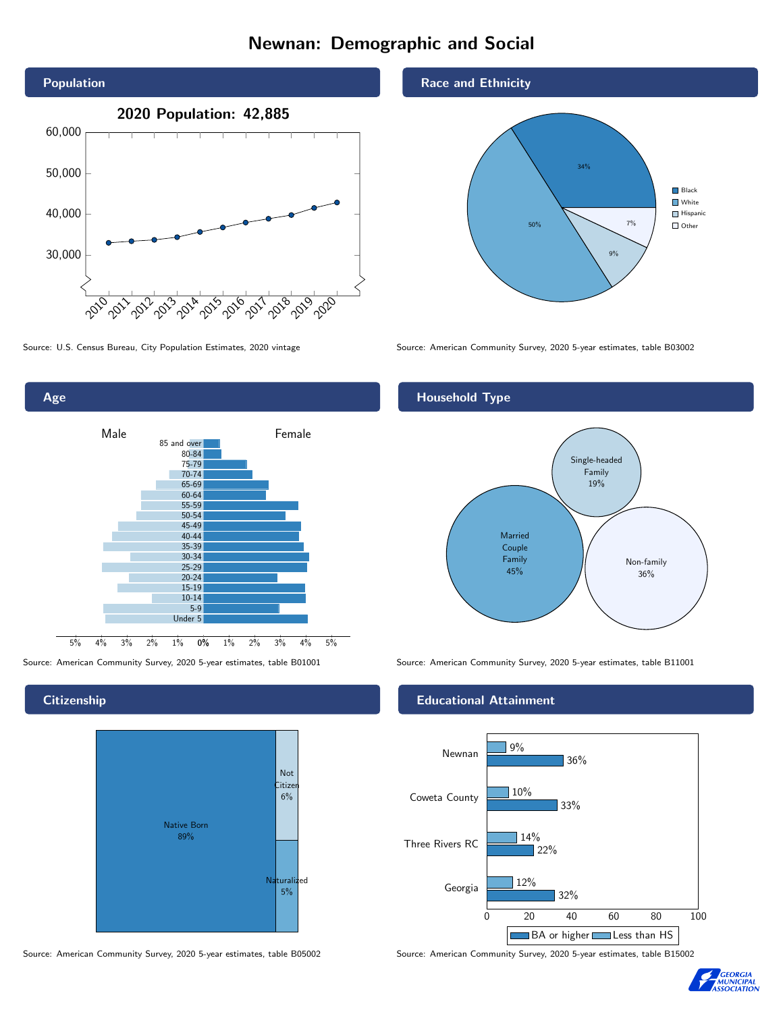# Newnan: Demographic and Social





### **Citizenship**



Source: American Community Survey, 2020 5-year estimates, table B05002 Source: American Community Survey, 2020 5-year estimates, table B15002

#### Race and Ethnicity



Source: U.S. Census Bureau, City Population Estimates, 2020 vintage Source: American Community Survey, 2020 5-year estimates, table B03002

# Household Type



Source: American Community Survey, 2020 5-year estimates, table B01001 Source: American Community Survey, 2020 5-year estimates, table B11001

#### Educational Attainment



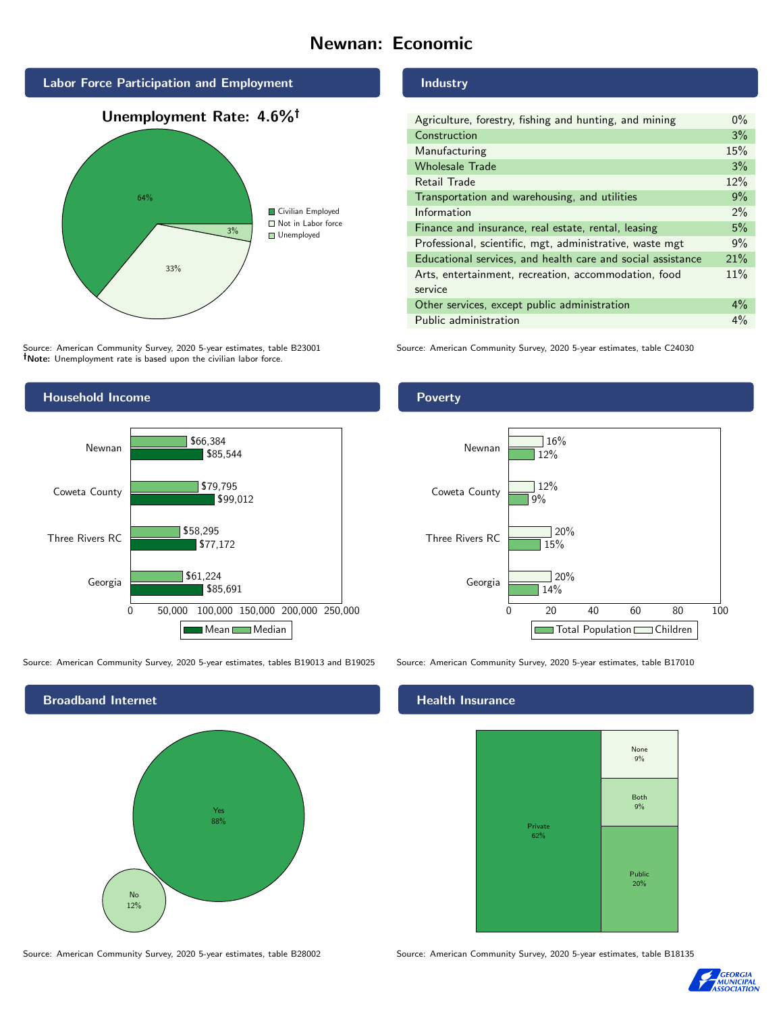# Newnan: Economic







Source: American Community Survey, 2020 5-year estimates, table B23001 Note: Unemployment rate is based upon the civilian labor force.



Source: American Community Survey, 2020 5-year estimates, tables B19013 and B19025 Source: American Community Survey, 2020 5-year estimates, table B17010



#### Industry

| Agriculture, forestry, fishing and hunting, and mining      | $0\%$ |
|-------------------------------------------------------------|-------|
| Construction                                                | 3%    |
| Manufacturing                                               | 15%   |
| <b>Wholesale Trade</b>                                      | 3%    |
| Retail Trade                                                | 12%   |
| Transportation and warehousing, and utilities               | 9%    |
| Information                                                 | 2%    |
| Finance and insurance, real estate, rental, leasing         | 5%    |
| Professional, scientific, mgt, administrative, waste mgt    | 9%    |
| Educational services, and health care and social assistance | 21%   |
| Arts, entertainment, recreation, accommodation, food        | 11%   |
| service                                                     |       |
| Other services, except public administration                | $4\%$ |
| Public administration                                       | $4\%$ |

Source: American Community Survey, 2020 5-year estimates, table C24030

# Poverty



# **Health Insurance**



Source: American Community Survey, 2020 5-year estimates, table B28002 Source: American Community Survey, 2020 5-year estimates, table B18135